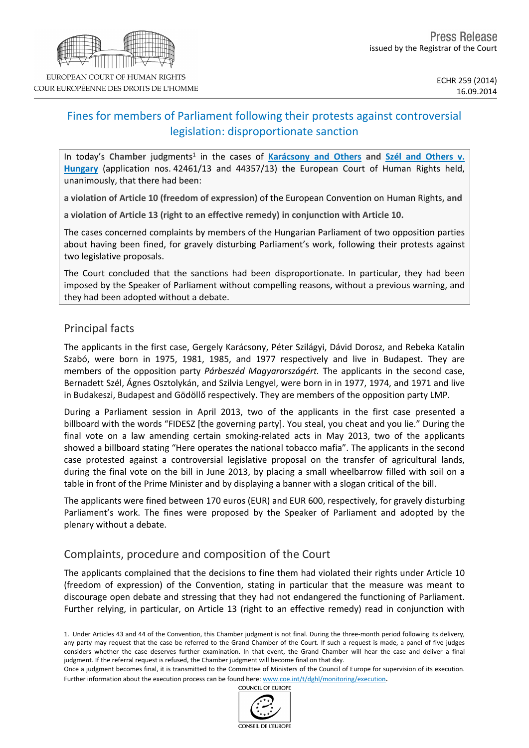# Fines for members of Parliament following their protests against controversial legislation: disproportionate sanction

In today's Chamber judgments<sup>1</sup> in the cases of [Karácsony](http://hudoc.echr.coe.int/sites/eng/pages/search.aspx?i=001-146384) [and](http://hudoc.echr.coe.int/sites/eng/pages/search.aspx?i=001-146385) [Others](http://hudoc.echr.coe.int/sites/eng/pages/search.aspx?i=001-146385) and [Szél](http://hudoc.echr.coe.int/sites/eng/pages/search.aspx?i=001-146385) and Others [v.](http://hudoc.echr.coe.int/sites/eng/pages/search.aspx?i=001-146385) **[Hungary](http://hudoc.echr.coe.int/sites/eng/pages/search.aspx?i=001-146385)** (application nos. 42461/13 and 44357/13) the European Court of Human Rights held, unanimously, that there had been:

**a violation of Article 10 (freedom of expression)** of the European Convention on Human Rights**, and**

**a violation of Article 13 (right to an effective remedy) in conjunction with Article 10.**

The cases concerned complaints by members of the Hungarian Parliament of two opposition parties about having been fined, for gravely disturbing Parliament's work, following their protests against two legislative proposals.

The Court concluded that the sanctions had been disproportionate. In particular, they had been imposed by the Speaker of Parliament without compelling reasons, without a previous warning, and they had been adopted without a debate.

## Principal facts

The applicants in the first case, Gergely Karácsony, Péter Szilágyi, Dávid Dorosz, and Rebeka Katalin Szabó, were born in 1975, 1981, 1985, and 1977 respectively and live in Budapest. They are members of the opposition party *Párbeszéd Magyarországért.* The applicants in the second case, Bernadett Szél, Ágnes Osztolykán, and Szilvia Lengyel, were born in in 1977, 1974, and 1971 and live in Budakeszi, Budapest and Gödöllő respectively. They are members of the opposition party LMP.

During a Parliament session in April 2013, two of the applicants in the first case presented a billboard with the words "FIDESZ [the governing party]. You steal, you cheat and you lie." During the final vote on a law amending certain smoking-related acts in May 2013, two of the applicants showed a billboard stating "Here operates the national tobacco mafia". The applicants in the second case protested against a controversial legislative proposal on the transfer of agricultural lands, during the final vote on the bill in June 2013, by placing a small wheelbarrow filled with soil on a table in front of the Prime Minister and by displaying a banner with a slogan critical of the bill.

The applicants were fined between 170 euros (EUR) and EUR 600, respectively, for gravely disturbing Parliament's work. The fines were proposed by the Speaker of Parliament and adopted by the plenary without a debate.

### Complaints, procedure and composition of the Court

The applicants complained that the decisions to fine them had violated their rights under Article 10 (freedom of expression) of the Convention, stating in particular that the measure was meant to discourage open debate and stressing that they had not endangered the functioning of Parliament. Further relying, in particular, on Article 13 (right to an effective remedy) read in conjunction with

Once a judgment becomes final, it is transmitted to the Committee of Ministers of the Council of Europe for supervision of its execution. Further information about the execution process can be found here: [www.coe.int/t/dghl/monitoring/execution](http://www.coe.int/t/dghl/monitoring/execution).

COUNCIL OF EUROPE



<sup>1.</sup> Under Articles 43 and 44 of the Convention, this Chamber judgment is not final. During the three-month period following its delivery, any party may request that the case be referred to the Grand Chamber of the Court. If such a request is made, a panel of five judges considers whether the case deserves further examination. In that event, the Grand Chamber will hear the case and deliver a final judgment. If the referral request is refused, the Chamber judgment will become final on that day.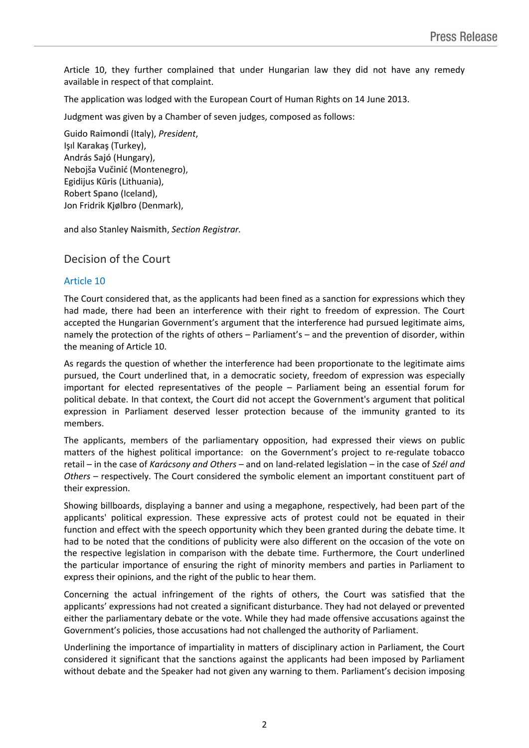Article 10, they further complained that under Hungarian law they did not have any remedy available in respect of that complaint.

The application was lodged with the European Court of Human Rights on 14 June 2013.

Judgment was given by a Chamber of seven judges, composed as follows:

Guido **Raimondi** (Italy), *President*, Işıl **Karakaş** (Turkey), András **Sajó** (Hungary), Nebojša **Vučinić** (Montenegro), Egidijus **Kūris** (Lithuania), Robert **Spano** (Iceland), Jon Fridrik **Kjølbro** (Denmark),

and also Stanley **Naismith**, *Section Registrar.*

Decision of the Court

### Article 10

The Court considered that, as the applicants had been fined as a sanction for expressions which they had made, there had been an interference with their right to freedom of expression. The Court accepted the Hungarian Government's argument that the interference had pursued legitimate aims, namely the protection of the rights of others – Parliament's – and the prevention of disorder, within the meaning of Article 10.

As regards the question of whether the interference had been proportionate to the legitimate aims pursued, the Court underlined that, in a democratic society, freedom of expression was especially important for elected representatives of the people – Parliament being an essential forum for political debate. In that context, the Court did not accept the Government's argument that political expression in Parliament deserved lesser protection because of the immunity granted to its members.

The applicants, members of the parliamentary opposition, had expressed their views on public matters of the highest political importance: on the Government's project to re-regulate tobacco retail – in the case of *Karácsony and Others* – and on land-related legislation – in the case of *Szél and Others* – respectively. The Court considered the symbolic element an important constituent part of their expression.

Showing billboards, displaying a banner and using a megaphone, respectively, had been part of the applicants' political expression. These expressive acts of protest could not be equated in their function and effect with the speech opportunity which they been granted during the debate time. It had to be noted that the conditions of publicity were also different on the occasion of the vote on the respective legislation in comparison with the debate time. Furthermore, the Court underlined the particular importance of ensuring the right of minority members and parties in Parliament to express their opinions, and the right of the public to hear them.

Concerning the actual infringement of the rights of others, the Court was satisfied that the applicants' expressions had not created a significant disturbance. They had not delayed or prevented either the parliamentary debate or the vote. While they had made offensive accusations against the Government's policies, those accusations had not challenged the authority of Parliament.

Underlining the importance of impartiality in matters of disciplinary action in Parliament, the Court considered it significant that the sanctions against the applicants had been imposed by Parliament without debate and the Speaker had not given any warning to them. Parliament's decision imposing